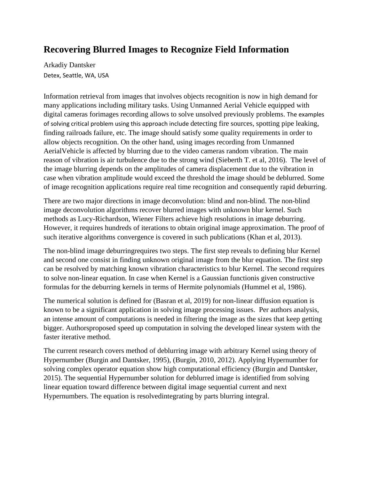## **Recovering Blurred Images to Recognize Field Information**

Arkadiy Dantsker Detex, Seattle, WA, USA

Information retrieval from images that involves objects recognition is now in high demand for many applications including military tasks. Using Unmanned Aerial Vehicle equipped with digital cameras forimages recording allows to solve unsolved previously problems. The examples of solving critical problem using this approach include detecting fire sources, spotting pipe leaking, finding railroads failure, etc. The image should satisfy some quality requirements in order to allow objects recognition. On the other hand, using images recording from Unmanned AerialVehicle is affected by blurring due to the video cameras random vibration. The main reason of vibration is air turbulence due to the strong wind (Sieberth T. et al, 2016). The level of the image blurring depends on the amplitudes of camera displacement due to the vibration in case when vibration amplitude would exceed the threshold the image should be deblurred. Some of image recognition applications require real time recognition and consequently rapid deburring.

There are two major directions in image deconvolution: blind and non-blind. The non-blind image deconvolution algorithms recover blurred images with unknown blur kernel. Such methods as Lucy-Richardson, Wiener Filters achieve high resolutions in image deburring. However, it requires hundreds of iterations to obtain original image approximation. The proof of such iterative algorithms convergence is covered in such publications (Khan et al, 2013).

The non-blind image deburringrequires two steps. The first step reveals to defining blur Kernel and second one consist in finding unknown original image from the blur equation. The first step can be resolved by matching known vibration characteristics to blur Kernel. The second requires to solve non-linear equation. In case when Kernel is a Gaussian functionis given constructive formulas for the deburring kernels in terms of Hermite polynomials (Hummel et al, 1986).

The numerical solution is defined for (Basran et al, 2019) for non-linear diffusion equation is known to be a significant application in solving image processing issues. Per authors analysis, an intense amount of computations is needed in filtering the image as the sizes that keep getting bigger. Authorsproposed speed up computation in solving the developed linear system with the faster iterative method.

The current research covers method of deblurring image with arbitrary Kernel using theory of Hypernumber (Burgin and Dantsker, 1995), (Burgin, 2010, 2012). Applying Hypernumber for solving complex operator equation show high computational efficiency (Burgin and Dantsker, 2015). The sequential Hypernumber solution for deblurred image is identified from solving linear equation toward difference between digital image sequential current and next Hypernumbers. The equation is resolvedintegrating by parts blurring integral.